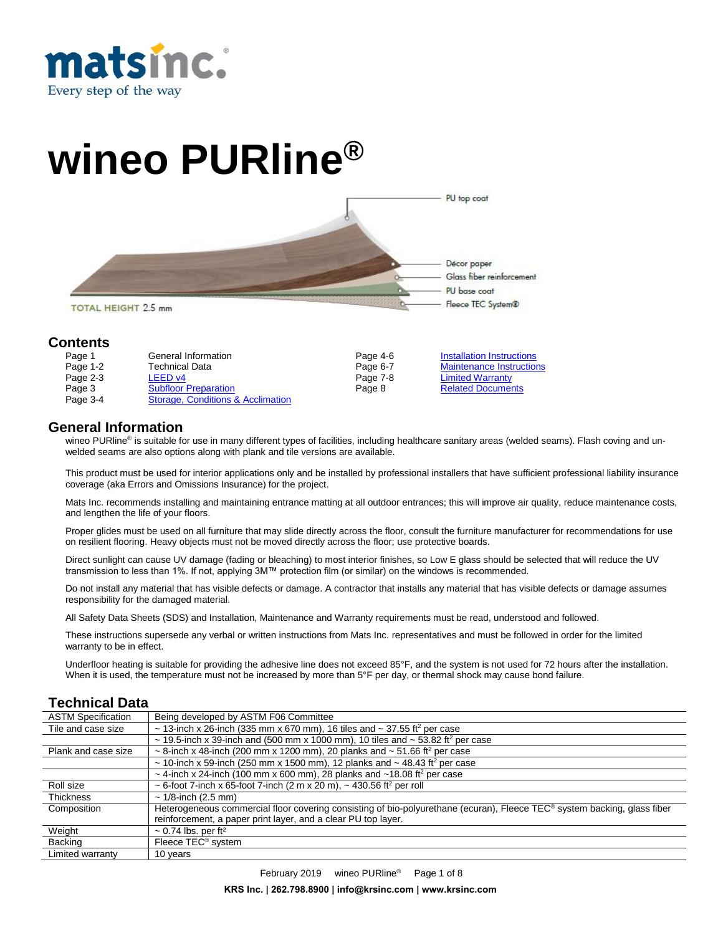

# **wineo PURline®**



## **Contents**

| Page 1   | General Information               | Page 4-6 | Installation Instructions       |
|----------|-----------------------------------|----------|---------------------------------|
| Page 1-2 | Technical Data                    | Page 6-7 | <b>Maintenance Instructions</b> |
| Page 2-3 | LEED v4                           | Page 7-8 | <b>Limited Warranty</b>         |
| Page 3   | <b>Subfloor Preparation</b>       | Page 8   | <b>Related Documents</b>        |
| Page 3-4 | Storage, Conditions & Acclimation |          |                                 |

## **General Information**

wineo PURline® is suitable for use in many different types of facilities, including healthcare sanitary areas (welded seams). Flash coving and unwelded seams are also options along with plank and tile versions are available.

This product must be used for interior applications only and be installed by professional installers that have sufficient professional liability insurance coverage (aka Errors and Omissions Insurance) for the project.

Mats Inc. recommends installing and maintaining entrance matting at all outdoor entrances; this will improve air quality, reduce maintenance costs, and lengthen the life of your floors.

Proper glides must be used on all furniture that may slide directly across the floor, consult the furniture manufacturer for recommendations for use on resilient flooring. Heavy objects must not be moved directly across the floor; use protective boards.

Direct sunlight can cause UV damage (fading or bleaching) to most interior finishes, so Low E glass should be selected that will reduce the UV transmission to less than 1%. If not, applying 3M™ protection film (or similar) on the windows is recommended.

Do not install any material that has visible defects or damage. A contractor that installs any material that has visible defects or damage assumes responsibility for the damaged material.

All Safety Data Sheets (SDS) and Installation, Maintenance and Warranty requirements must be read, understood and followed.

These instructions supersede any verbal or written instructions from Mats Inc. representatives and must be followed in order for the limited warranty to be in effect.

Underfloor heating is suitable for providing the adhesive line does not exceed 85°F, and the system is not used for 72 hours after the installation. When it is used, the temperature must not be increased by more than 5°F per day, or thermal shock may cause bond failure.

## **Technical Data**

| <b>ASTM Specification</b> | Being developed by ASTM F06 Committee                                                                                                                                                     |  |
|---------------------------|-------------------------------------------------------------------------------------------------------------------------------------------------------------------------------------------|--|
| Tile and case size        | $\sim$ 13-inch x 26-inch (335 mm x 670 mm), 16 tiles and $\sim$ 37.55 ft <sup>2</sup> per case                                                                                            |  |
|                           | $\sim$ 19.5-inch x 39-inch and (500 mm x 1000 mm), 10 tiles and $\sim$ 53.82 ft <sup>2</sup> per case                                                                                     |  |
| Plank and case size       | $\sim$ 8-inch x 48-inch (200 mm x 1200 mm), 20 planks and $\sim$ 51.66 ft <sup>2</sup> per case                                                                                           |  |
|                           | $\sim$ 10-inch x 59-inch (250 mm x 1500 mm), 12 planks and $\sim$ 48.43 ft <sup>2</sup> per case                                                                                          |  |
|                           | $\sim$ 4-inch x 24-inch (100 mm x 600 mm), 28 planks and $\sim$ 18.08 ft <sup>2</sup> per case                                                                                            |  |
| Roll size                 | $\sim$ 6-foot 7-inch x 65-foot 7-inch (2 m x 20 m), $\sim$ 430.56 ft <sup>2</sup> per roll                                                                                                |  |
| <b>Thickness</b>          | $\sim$ 1/8-inch (2.5 mm)                                                                                                                                                                  |  |
| Composition               | Heterogeneous commercial floor covering consisting of bio-polyurethane (ecuran), Fleece TEC® system backing, glass fiber<br>reinforcement, a paper print layer, and a clear PU top layer. |  |
| Weight                    | $\sim$ 0.74 lbs. per ft <sup>2</sup>                                                                                                                                                      |  |
| <b>Backing</b>            | Fleece TEC <sup>®</sup> system                                                                                                                                                            |  |
| Limited warranty          | 10 years                                                                                                                                                                                  |  |
|                           |                                                                                                                                                                                           |  |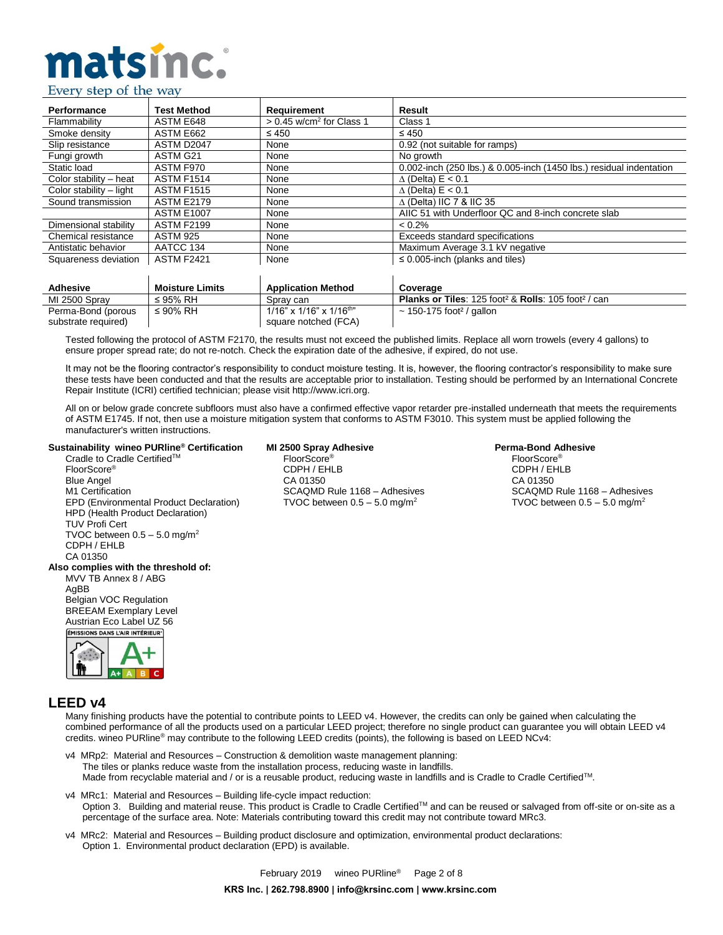

| Performance             | <b>Test Method</b> | <b>Requirement</b>                     | Result                                                              |
|-------------------------|--------------------|----------------------------------------|---------------------------------------------------------------------|
| Flammability            | ASTM E648          | $> 0.45$ w/cm <sup>2</sup> for Class 1 | Class 1                                                             |
| Smoke density           | ASTM E662          | $\leq 450$                             | $\leq 450$                                                          |
| Slip resistance         | ASTM D2047         | None                                   | 0.92 (not suitable for ramps)                                       |
| Fungi growth            | ASTM G21           | None                                   | No growth                                                           |
| Static load             | ASTM F970          | None                                   | 0.002-inch (250 lbs.) & 0.005-inch (1450 lbs.) residual indentation |
| Color stability - heat  | <b>ASTM F1514</b>  | None                                   | $\triangle$ (Delta) E < 0.1                                         |
| Color stability - light | <b>ASTM F1515</b>  | None                                   | $\triangle$ (Delta) E < 0.1                                         |
| Sound transmission      | <b>ASTM E2179</b>  | None                                   | $\triangle$ (Delta) IIC 7 & IIC 35                                  |
|                         | <b>ASTM E1007</b>  | None                                   | AIIC 51 with Underfloor QC and 8-inch concrete slab                 |
| Dimensional stability   | <b>ASTM F2199</b>  | None                                   | $< 0.2\%$                                                           |
| Chemical resistance     | <b>ASTM 925</b>    | None                                   | Exceeds standard specifications                                     |
| Antistatic behavior     | AATCC 134          | None                                   | Maximum Average 3.1 kV negative                                     |
| Squareness deviation    | <b>ASTM F2421</b>  | None                                   | $\leq$ 0.005-inch (planks and tiles)                                |

| Adhesive            | <b>Moisture Limits</b> | <b>Application Method</b> | Coverage                                                                             |
|---------------------|------------------------|---------------------------|--------------------------------------------------------------------------------------|
| MI 2500 Sprav       | $\leq$ 95% RH          | Sprav can                 | <b>Planks or Tiles: 125 foot<sup>2</sup> &amp; Rolls: 105 foot<sup>2</sup> / can</b> |
| Perma-Bond (porous  | $\leq$ 90% RH          | 1/16" x 1/16" x 1/16" "   | $\sim$ 150-175 foot <sup>2</sup> / gallon                                            |
| substrate required) |                        | square notched (FCA)      |                                                                                      |

Tested following the protocol of ASTM F2170, the results must not exceed the published limits. Replace all worn trowels (every 4 gallons) to ensure proper spread rate; do not re-notch. Check the expiration date of the adhesive, if expired, do not use.

It may not be the flooring contractor's responsibility to conduct moisture testing. It is, however, the flooring contractor's responsibility to make sure these tests have been conducted and that the results are acceptable prior to installation. Testing should be performed by an International Concrete Repair Institute (ICRI) certified technician; please visit http://www.icri.org.

All on or below grade concrete subfloors must also have a confirmed effective vapor retarder pre-installed underneath that meets the requirements of ASTM E1745. If not, then use a moisture mitigation system that conforms to ASTM F3010. This system must be applied following the manufacturer's written instructions.

#### **Sustainability wineo PURline® Certification MI 2500 Spray Adhesive Perma-Bond Adhesive**

Cradle to Cradle Certified™ FloorScore® FloorScore® FloorScore® FloorScore® FloorScore® FloorScore® FloorScore® FloorScore® FloorScore® FloorScore® FloorScore® FloorScore® CDPH / EHLB FloorScore® CDPH / EHLB CDPH / EHLB Blue Angel CA 01350 CA 01350 M1 Certification **SCAQMD Rule 1168 – Adhesives** SCAQMD Rule 1168 – Adhesives SCAQMD Rule 1168 – Adhesives EPD (Environmental Product Declaration) TVOC between  $0.5 - 5.0$  mg/m<sup>2</sup> TVOC between  $0.5 - 5.0$  mg/m<sup>2</sup> HPD (Health Product Declaration) TUV Profi Cert TVOC between  $0.5 - 5.0$  mg/m<sup>2</sup> CDPH / EHLB CA 01350

## **Also complies with the threshold of:**

MVV TB Annex 8 / ABG AgBB Belgian VOC Regulation BREEAM Exemplary Level Austrian Eco Label UZ 56



## <span id="page-1-0"></span>**LEED v4**

Many finishing products have the potential to contribute points to LEED v4. However, the credits can only be gained when calculating the combined performance of all the products used on a particular LEED project; therefore no single product can guarantee you will obtain LEED v4 credits. wineo PURline® may contribute to the following LEED credits (points), the following is based on LEED NCv4:

- v4 MRp2: Material and Resources Construction & demolition waste management planning: The tiles or planks reduce waste from the installation process, reducing waste in landfills. Made from recyclable material and / or is a reusable product, reducing waste in landfills and is Cradle to Cradle CertifiedTM.
- v4 MRc1: Material and Resources Building life-cycle impact reduction: Option 3. Building and material reuse. This product is Cradle to Cradle Certified™ and can be reused or salvaged from off-site or on-site as a percentage of the surface area. Note: Materials contributing toward this credit may not contribute toward MRc3.
- v4 MRc2: Material and Resources Building product disclosure and optimization, environmental product declarations: Option 1. Environmental product declaration (EPD) is available.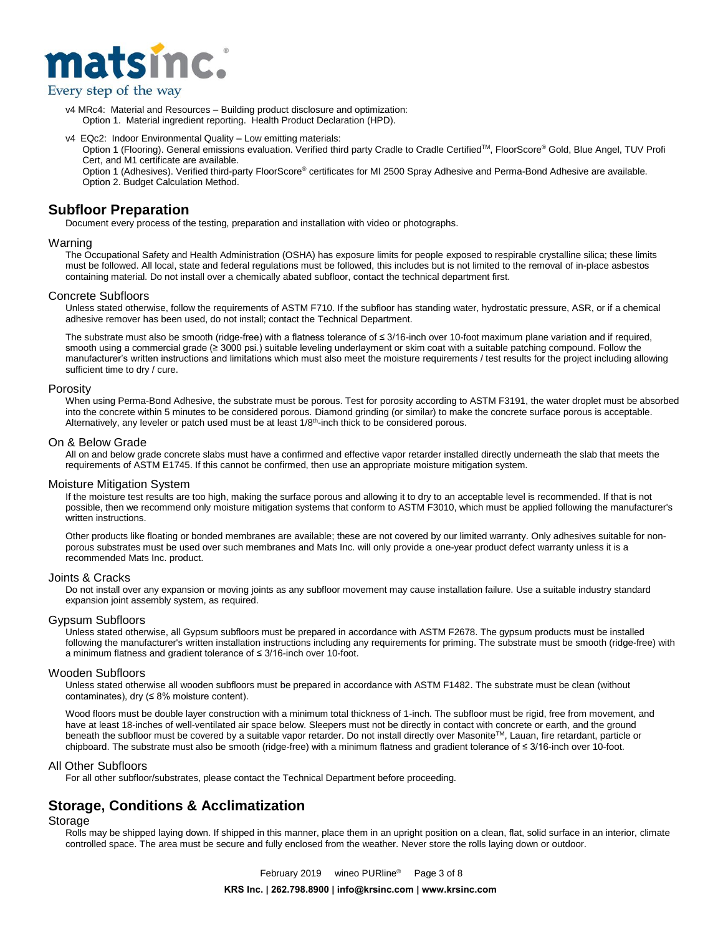

v4 MRc4: Material and Resources – Building product disclosure and optimization: Option 1. Material ingredient reporting. Health Product Declaration (HPD).

#### v4 EQc2: Indoor Environmental Quality – Low emitting materials:

Option 1 (Flooring). General emissions evaluation. Verified third party Cradle to Cradle Certified™, FloorScore® Gold, Blue Angel, TUV Profi Cert, and M1 certificate are available.

Option 1 (Adhesives). Verified third-party FloorScore® certificates for MI 2500 Spray Adhesive and Perma-Bond Adhesive are available. Option 2. Budget Calculation Method.

## <span id="page-2-0"></span>**Subfloor Preparation**

Document every process of the testing, preparation and installation with video or photographs.

#### Warning

The Occupational Safety and Health Administration (OSHA) has exposure limits for people exposed to respirable crystalline silica; these limits must be followed. All local, state and federal regulations must be followed, this includes but is not limited to the removal of in-place asbestos containing material. Do not install over a chemically abated subfloor, contact the technical department first.

#### Concrete Subfloors

Unless stated otherwise, follow the requirements of ASTM F710. If the subfloor has standing water, hydrostatic pressure, ASR, or if a chemical adhesive remover has been used, do not install; contact the Technical Department.

The substrate must also be smooth (ridge-free) with a flatness tolerance of ≤ 3/16-inch over 10-foot maximum plane variation and if required, smooth using a commercial grade (≥ 3000 psi.) suitable leveling underlayment or skim coat with a suitable patching compound. Follow the manufacturer's written instructions and limitations which must also meet the moisture requirements / test results for the project including allowing sufficient time to dry / cure.

#### Porosity

When using Perma-Bond Adhesive, the substrate must be porous. Test for porosity according to ASTM F3191, the water droplet must be absorbed into the concrete within 5 minutes to be considered porous. Diamond grinding (or similar) to make the concrete surface porous is acceptable. Alternatively, any leveler or patch used must be at least 1/8<sup>th</sup>-inch thick to be considered porous.

#### On & Below Grade

All on and below grade concrete slabs must have a confirmed and effective vapor retarder installed directly underneath the slab that meets the requirements of ASTM E1745. If this cannot be confirmed, then use an appropriate moisture mitigation system.

#### Moisture Mitigation System

If the moisture test results are too high, making the surface porous and allowing it to dry to an acceptable level is recommended. If that is not possible, then we recommend only moisture mitigation systems that conform to ASTM F3010, which must be applied following the manufacturer's written instructions.

Other products like floating or bonded membranes are available; these are not covered by our limited warranty. Only adhesives suitable for nonporous substrates must be used over such membranes and Mats Inc. will only provide a one-year product defect warranty unless it is a recommended Mats Inc. product.

#### Joints & Cracks

Do not install over any expansion or moving joints as any subfloor movement may cause installation failure. Use a suitable industry standard expansion joint assembly system, as required.

#### Gypsum Subfloors

Unless stated otherwise, all Gypsum subfloors must be prepared in accordance with ASTM F2678. The gypsum products must be installed following the manufacturer's written installation instructions including any requirements for priming. The substrate must be smooth (ridge-free) with a minimum flatness and gradient tolerance of ≤ 3/16-inch over 10-foot.

#### Wooden Subfloors

Unless stated otherwise all wooden subfloors must be prepared in accordance with ASTM F1482. The substrate must be clean (without contaminates), dry (≤ 8% moisture content).

Wood floors must be double layer construction with a minimum total thickness of 1-inch. The subfloor must be rigid, free from movement, and have at least 18-inches of well-ventilated air space below. Sleepers must not be directly in contact with concrete or earth, and the ground beneath the subfloor must be covered by a suitable vapor retarder. Do not install directly over Masonite™, Lauan, fire retardant, particle or chipboard. The substrate must also be smooth (ridge-free) with a minimum flatness and gradient tolerance of ≤ 3/16-inch over 10-foot.

#### All Other Subfloors

For all other subfloor/substrates, please contact the Technical Department before proceeding.

## <span id="page-2-1"></span>**Storage, Conditions & Acclimatization**

#### Storage

Rolls may be shipped laying down. If shipped in this manner, place them in an upright position on a clean, flat, solid surface in an interior, climate controlled space. The area must be secure and fully enclosed from the weather. Never store the rolls laying down or outdoor.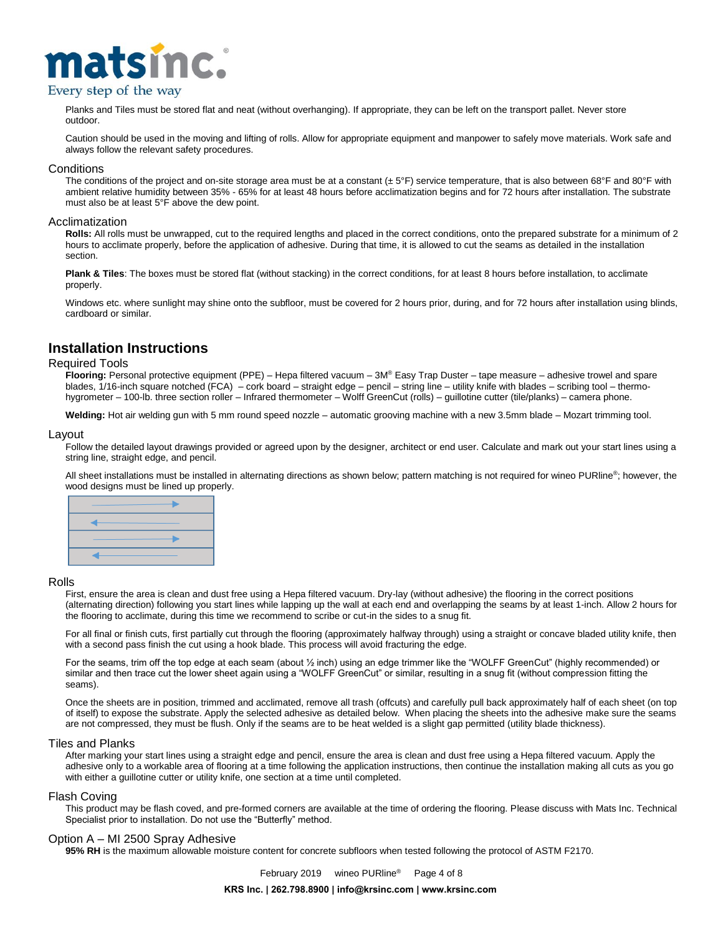

Planks and Tiles must be stored flat and neat (without overhanging). If appropriate, they can be left on the transport pallet. Never store outdoor.

Caution should be used in the moving and lifting of rolls. Allow for appropriate equipment and manpower to safely move materials. Work safe and always follow the relevant safety procedures.

#### **Conditions**

The conditions of the project and on-site storage area must be at a constant  $(\pm 5^{\circ}F)$  service temperature, that is also between 68°F and 80°F with ambient relative humidity between 35% - 65% for at least 48 hours before acclimatization begins and for 72 hours after installation. The substrate must also be at least 5°F above the dew point.

#### Acclimatization

**Rolls:** All rolls must be unwrapped, cut to the required lengths and placed in the correct conditions, onto the prepared substrate for a minimum of 2 hours to acclimate properly, before the application of adhesive. During that time, it is allowed to cut the seams as detailed in the installation section.

**Plank & Tiles**: The boxes must be stored flat (without stacking) in the correct conditions, for at least 8 hours before installation, to acclimate properly.

Windows etc. where sunlight may shine onto the subfloor, must be covered for 2 hours prior, during, and for 72 hours after installation using blinds, cardboard or similar.

## <span id="page-3-0"></span>**Installation Instructions**

#### Required Tools

**Flooring:** Personal protective equipment (PPE) – Hepa filtered vacuum – 3M® Easy Trap Duster – tape measure – adhesive trowel and spare blades, 1/16-inch square notched (FCA) – cork board – straight edge – pencil – string line – utility knife with blades – scribing tool – thermohygrometer – 100-lb. three section roller – Infrared thermometer – Wolff GreenCut (rolls) – guillotine cutter (tile/planks) – camera phone.

**Welding:** Hot air welding gun with 5 mm round speed nozzle – automatic grooving machine with a new 3.5mm blade – Mozart trimming tool.

#### Layout

Follow the detailed layout drawings provided or agreed upon by the designer, architect or end user. Calculate and mark out your start lines using a string line, straight edge, and pencil.

All sheet installations must be installed in alternating directions as shown below; pattern matching is not required for wineo PURline®; however, the wood designs must be lined up properly.

| ٠ | ۰ |
|---|---|
|   |   |

#### Rolls

First, ensure the area is clean and dust free using a Hepa filtered vacuum. Dry-lay (without adhesive) the flooring in the correct positions (alternating direction) following you start lines while lapping up the wall at each end and overlapping the seams by at least 1-inch. Allow 2 hours for the flooring to acclimate, during this time we recommend to scribe or cut-in the sides to a snug fit.

For all final or finish cuts, first partially cut through the flooring (approximately halfway through) using a straight or concave bladed utility knife, then with a second pass finish the cut using a hook blade. This process will avoid fracturing the edge.

For the seams, trim off the top edge at each seam (about ½ inch) using an edge trimmer like the "WOLFF GreenCut" (highly recommended) or similar and then trace cut the lower sheet again using a "WOLFF GreenCut" or similar, resulting in a snug fit (without compression fitting the seams).

Once the sheets are in position, trimmed and acclimated, remove all trash (offcuts) and carefully pull back approximately half of each sheet (on top of itself) to expose the substrate. Apply the selected adhesive as detailed below. When placing the sheets into the adhesive make sure the seams are not compressed, they must be flush. Only if the seams are to be heat welded is a slight gap permitted (utility blade thickness).

#### Tiles and Planks

After marking your start lines using a straight edge and pencil, ensure the area is clean and dust free using a Hepa filtered vacuum. Apply the adhesive only to a workable area of flooring at a time following the application instructions, then continue the installation making all cuts as you go with either a guillotine cutter or utility knife, one section at a time until completed.

#### Flash Coving

This product may be flash coved, and pre-formed corners are available at the time of ordering the flooring. Please discuss with Mats Inc. Technical Specialist prior to installation. Do not use the "Butterfly" method.

#### Option A – MI 2500 Spray Adhesive

**95% RH** is the maximum allowable moisture content for concrete subfloors when tested following the protocol of ASTM F2170.

February 2019 wineo PURline® Page 4 of 8 **KRS Inc. | 262.798.8900 | info@krsinc.com | www.krsinc.com**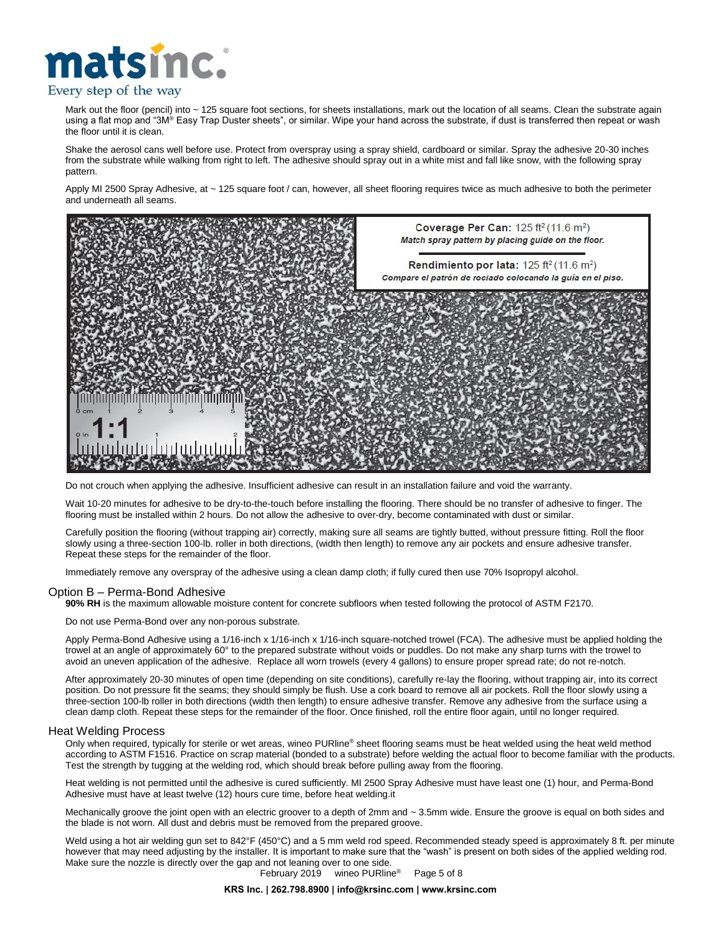

Mark out the floor (pencil) into ~ 125 square foot sections, for sheets installations, mark out the location of all seams. Clean the substrate again using a flat mop and "3M® Easy Trap Duster sheets", or similar. Wipe your hand across the substrate, if dust is transferred then repeat or wash the floor until it is clean.

Shake the aerosol cans well before use. Protect from overspray using a spray shield, cardboard or similar. Spray the adhesive 20-30 inches from the substrate while walking from right to left. The adhesive should spray out in a white mist and fall like snow, with the following spray pattern.

Apply MI 2500 Spray Adhesive, at ~ 125 square foot / can, however, all sheet flooring requires twice as much adhesive to both the perimeter and underneath all seams.



Do not crouch when applying the adhesive. Insufficient adhesive can result in an installation failure and void the warranty.

Wait 10-20 minutes for adhesive to be dry-to-the-touch before installing the flooring. There should be no transfer of adhesive to finger. The flooring must be installed within 2 hours. Do not allow the adhesive to over-dry, become contaminated with dust or similar.

Carefully position the flooring (without trapping air) correctly, making sure all seams are tightly butted, without pressure fitting. Roll the floor slowly using a three-section 100-lb. roller in both directions, (width then length) to remove any air pockets and ensure adhesive transfer. Repeat these steps for the remainder of the floor.

Immediately remove any overspray of the adhesive using a clean damp cloth; if fully cured then use 70% Isopropyl alcohol.

#### Option B – Perma-Bond Adhesive

**90% RH** is the maximum allowable moisture content for concrete subfloors when tested following the protocol of ASTM F2170.

Do not use Perma-Bond over any non-porous substrate.

Apply Perma-Bond Adhesive using a 1/16-inch x 1/16-inch x 1/16-inch square-notched trowel (FCA). The adhesive must be applied holding the trowel at an angle of approximately 60° to the prepared substrate without voids or puddles. Do not make any sharp turns with the trowel to avoid an uneven application of the adhesive. Replace all worn trowels (every 4 gallons) to ensure proper spread rate; do not re-notch.

After approximately 20-30 minutes of open time (depending on site conditions), carefully re-lay the flooring, without trapping air, into its correct position. Do not pressure fit the seams; they should simply be flush. Use a cork board to remove all air pockets. Roll the floor slowly using a three-section 100-lb roller in both directions (width then length) to ensure adhesive transfer. Remove any adhesive from the surface using a clean damp cloth. Repeat these steps for the remainder of the floor. Once finished, roll the entire floor again, until no longer required.

#### Heat Welding Process

Only when required, typically for sterile or wet areas, wineo PURline® sheet flooring seams must be heat welded using the heat weld method according to ASTM F1516. Practice on scrap material (bonded to a substrate) before welding the actual floor to become familiar with the products. Test the strength by tugging at the welding rod, which should break before pulling away from the flooring.

Heat welding is not permitted until the adhesive is cured sufficiently. MI 2500 Spray Adhesive must have least one (1) hour, and Perma-Bond Adhesive must have at least twelve (12) hours cure time, before heat welding.it

Mechanically groove the joint open with an electric groover to a depth of 2mm and ~ 3.5mm wide. Ensure the groove is equal on both sides and the blade is not worn. All dust and debris must be removed from the prepared groove.

Weld using a hot air welding gun set to 842°F (450°C) and a 5 mm weld rod speed. Recommended steady speed is approximately 8 ft. per minute however that may need adjusting by the installer. It is important to make sure that the "wash" is present on both sides of the applied welding rod. Make sure the nozzle is directly over the gap and not leaning over to one side.

February 2019 wineo PURline® Page 5 of 8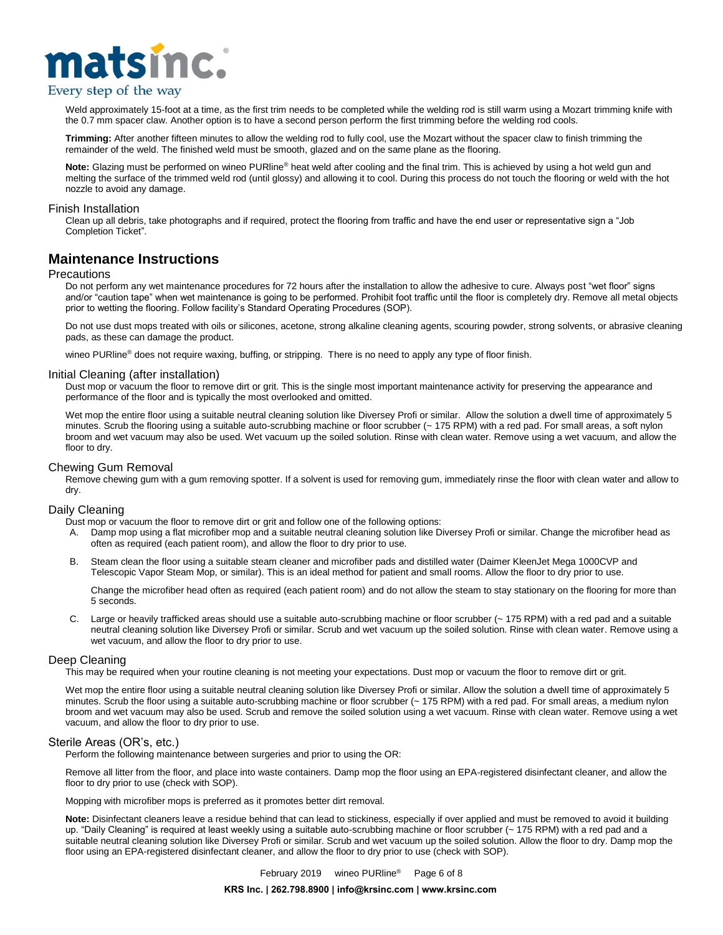

Weld approximately 15-foot at a time, as the first trim needs to be completed while the welding rod is still warm using a Mozart trimming knife with the 0.7 mm spacer claw. Another option is to have a second person perform the first trimming before the welding rod cools.

**Trimming:** After another fifteen minutes to allow the welding rod to fully cool, use the Mozart without the spacer claw to finish trimming the remainder of the weld. The finished weld must be smooth, glazed and on the same plane as the flooring.

**Note:** Glazing must be performed on wineo PURline® heat weld after cooling and the final trim. This is achieved by using a hot weld gun and melting the surface of the trimmed weld rod (until glossy) and allowing it to cool. During this process do not touch the flooring or weld with the hot nozzle to avoid any damage.

#### Finish Installation

Clean up all debris, take photographs and if required, protect the flooring from traffic and have the end user or representative sign a "Job Completion Ticket".

## <span id="page-5-0"></span>**Maintenance Instructions**

#### **Precautions**

Do not perform any wet maintenance procedures for 72 hours after the installation to allow the adhesive to cure. Always post "wet floor" signs and/or "caution tape" when wet maintenance is going to be performed. Prohibit foot traffic until the floor is completely dry. Remove all metal objects prior to wetting the flooring. Follow facility's Standard Operating Procedures (SOP).

Do not use dust mops treated with oils or silicones, acetone, strong alkaline cleaning agents, scouring powder, strong solvents, or abrasive cleaning pads, as these can damage the product.

wineo PURline<sup>®</sup> does not require waxing, buffing, or stripping. There is no need to apply any type of floor finish.

#### Initial Cleaning (after installation)

Dust mop or vacuum the floor to remove dirt or grit. This is the single most important maintenance activity for preserving the appearance and performance of the floor and is typically the most overlooked and omitted.

Wet mop the entire floor using a suitable neutral cleaning solution like Diversey Profi or similar. Allow the solution a dwell time of approximately 5 minutes. Scrub the flooring using a suitable auto-scrubbing machine or floor scrubber (~ 175 RPM) with a red pad. For small areas, a soft nylon broom and wet vacuum may also be used. Wet vacuum up the soiled solution. Rinse with clean water. Remove using a wet vacuum, and allow the floor to dry.

#### Chewing Gum Removal

Remove chewing gum with a gum removing spotter. If a solvent is used for removing gum, immediately rinse the floor with clean water and allow to dry.

#### Daily Cleaning

Dust mop or vacuum the floor to remove dirt or grit and follow one of the following options:

- Damp mop using a flat microfiber mop and a suitable neutral cleaning solution like Diversey Profi or similar. Change the microfiber head as often as required (each patient room), and allow the floor to dry prior to use.
- B. Steam clean the floor using a suitable steam cleaner and microfiber pads and distilled water (Daimer KleenJet Mega 1000CVP and Telescopic Vapor Steam Mop, or similar). This is an ideal method for patient and small rooms. Allow the floor to dry prior to use.

Change the microfiber head often as required (each patient room) and do not allow the steam to stay stationary on the flooring for more than 5 seconds.

C. Large or heavily trafficked areas should use a suitable auto-scrubbing machine or floor scrubber (~ 175 RPM) with a red pad and a suitable neutral cleaning solution like Diversey Profi or similar. Scrub and wet vacuum up the soiled solution. Rinse with clean water. Remove using a wet vacuum, and allow the floor to dry prior to use.

#### Deep Cleaning

This may be required when your routine cleaning is not meeting your expectations. Dust mop or vacuum the floor to remove dirt or grit.

Wet mop the entire floor using a suitable neutral cleaning solution like Diversey Profi or similar. Allow the solution a dwell time of approximately 5 minutes. Scrub the floor using a suitable auto-scrubbing machine or floor scrubber (~ 175 RPM) with a red pad. For small areas, a medium nylon broom and wet vacuum may also be used. Scrub and remove the soiled solution using a wet vacuum. Rinse with clean water. Remove using a wet vacuum, and allow the floor to dry prior to use.

#### Sterile Areas (OR's, etc.)

Perform the following maintenance between surgeries and prior to using the OR:

Remove all litter from the floor, and place into waste containers. Damp mop the floor using an EPA-registered disinfectant cleaner, and allow the floor to dry prior to use (check with SOP).

Mopping with microfiber mops is preferred as it promotes better dirt removal.

**Note:** Disinfectant cleaners leave a residue behind that can lead to stickiness, especially if over applied and must be removed to avoid it building up. "Daily Cleaning" is required at least weekly using a suitable auto-scrubbing machine or floor scrubber (~ 175 RPM) with a red pad and a suitable neutral cleaning solution like Diversey Profi or similar. Scrub and wet vacuum up the soiled solution. Allow the floor to dry. Damp mop the floor using an EPA-registered disinfectant cleaner, and allow the floor to dry prior to use (check with SOP).

> February 2019 wineo PURline® Page 6 of 8

#### **KRS Inc. | 262.798.8900 | info@krsinc.com | www.krsinc.com**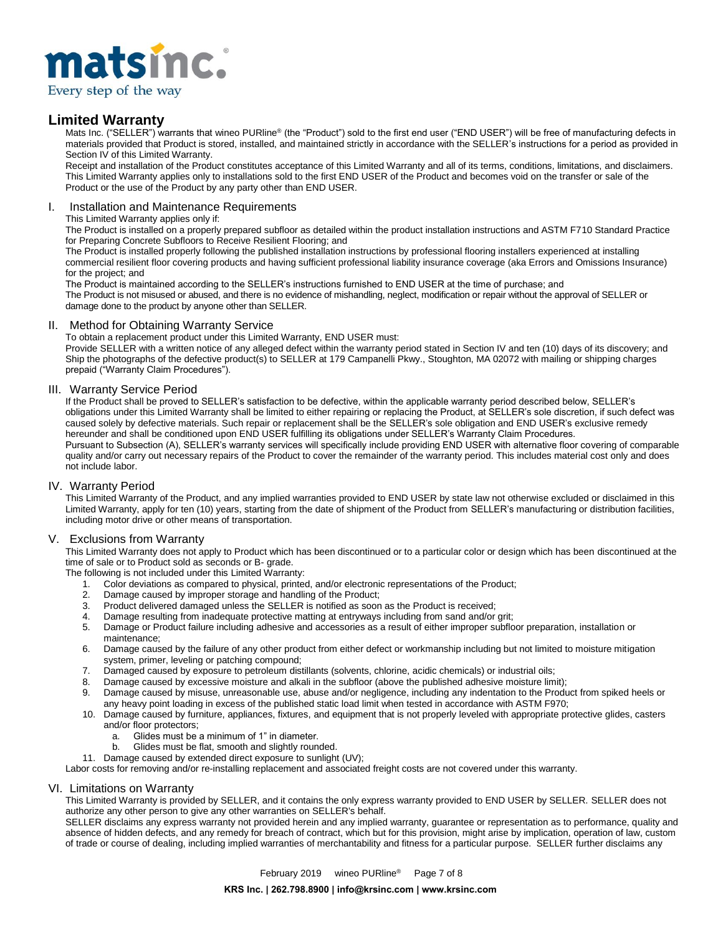

## <span id="page-6-0"></span>**Limited Warranty**

Mats Inc. ("SELLER") warrants that wineo PURline® (the "Product") sold to the first end user ("END USER") will be free of manufacturing defects in materials provided that Product is stored, installed, and maintained strictly in accordance with the SELLER's instructions for a period as provided in Section IV of this Limited Warranty.

Receipt and installation of the Product constitutes acceptance of this Limited Warranty and all of its terms, conditions, limitations, and disclaimers. This Limited Warranty applies only to installations sold to the first END USER of the Product and becomes void on the transfer or sale of the Product or the use of the Product by any party other than END USER.

#### I. Installation and Maintenance Requirements

This Limited Warranty applies only if:

The Product is installed on a properly prepared subfloor as detailed within the product installation instructions and ASTM F710 Standard Practice for Preparing Concrete Subfloors to Receive Resilient Flooring; and

The Product is installed properly following the published installation instructions by professional flooring installers experienced at installing commercial resilient floor covering products and having sufficient professional liability insurance coverage (aka Errors and Omissions Insurance) for the project; and

The Product is maintained according to the SELLER's instructions furnished to END USER at the time of purchase; and The Product is not misused or abused, and there is no evidence of mishandling, neglect, modification or repair without the approval of SELLER or damage done to the product by anyone other than SELLER.

#### II. Method for Obtaining Warranty Service

To obtain a replacement product under this Limited Warranty, END USER must:

Provide SELLER with a written notice of any alleged defect within the warranty period stated in Section IV and ten (10) days of its discovery; and Ship the photographs of the defective product(s) to SELLER at 179 Campanelli Pkwy., Stoughton, MA 02072 with mailing or shipping charges prepaid ("Warranty Claim Procedures").

#### III. Warranty Service Period

If the Product shall be proved to SELLER's satisfaction to be defective, within the applicable warranty period described below, SELLER's obligations under this Limited Warranty shall be limited to either repairing or replacing the Product, at SELLER's sole discretion, if such defect was caused solely by defective materials. Such repair or replacement shall be the SELLER's sole obligation and END USER's exclusive remedy hereunder and shall be conditioned upon END USER fulfilling its obligations under SELLER's Warranty Claim Procedures. Pursuant to Subsection (A), SELLER's warranty services will specifically include providing END USER with alternative floor covering of comparable quality and/or carry out necessary repairs of the Product to cover the remainder of the warranty period. This includes material cost only and does not include labor.

### IV. Warranty Period

This Limited Warranty of the Product, and any implied warranties provided to END USER by state law not otherwise excluded or disclaimed in this Limited Warranty, apply for ten (10) years, starting from the date of shipment of the Product from SELLER's manufacturing or distribution facilities, including motor drive or other means of transportation.

### V. Exclusions from Warranty

This Limited Warranty does not apply to Product which has been discontinued or to a particular color or design which has been discontinued at the time of sale or to Product sold as seconds or B- grade.

The following is not included under this Limited Warranty:

- 1. Color deviations as compared to physical, printed, and/or electronic representations of the Product;
- 2. Damage caused by improper storage and handling of the Product;
- 3. Product delivered damaged unless the SELLER is notified as soon as the Product is received;
- 4. Damage resulting from inadequate protective matting at entryways including from sand and/or grit;<br>5. Damage or Product failure including adhesive and accessories as a result of either improper subflo
- 5. Damage or Product failure including adhesive and accessories as a result of either improper subfloor preparation, installation or maintenance;
- 6. Damage caused by the failure of any other product from either defect or workmanship including but not limited to moisture mitigation system, primer, leveling or patching compound;
- 7. Damaged caused by exposure to petroleum distillants (solvents, chlorine, acidic chemicals) or industrial oils;
- 8. Damage caused by excessive moisture and alkali in the subfloor (above the published adhesive moisture limit);
- 9. Damage caused by misuse, unreasonable use, abuse and/or negligence, including any indentation to the Product from spiked heels or any heavy point loading in excess of the published static load limit when tested in accordance with ASTM F970;
- 10. Damage caused by furniture, appliances, fixtures, and equipment that is not properly leveled with appropriate protective glides, casters and/or floor protectors;
	- a. Glides must be a minimum of 1" in diameter.
	- b. Glides must be flat, smooth and slightly rounded.
- 11. Damage caused by extended direct exposure to sunlight (UV);

Labor costs for removing and/or re-installing replacement and associated freight costs are not covered under this warranty.

#### VI. Limitations on Warranty

This Limited Warranty is provided by SELLER, and it contains the only express warranty provided to END USER by SELLER. SELLER does not authorize any other person to give any other warranties on SELLER's behalf.

SELLER disclaims any express warranty not provided herein and any implied warranty, guarantee or representation as to performance, quality and absence of hidden defects, and any remedy for breach of contract, which but for this provision, might arise by implication, operation of law, custom of trade or course of dealing, including implied warranties of merchantability and fitness for a particular purpose. SELLER further disclaims any